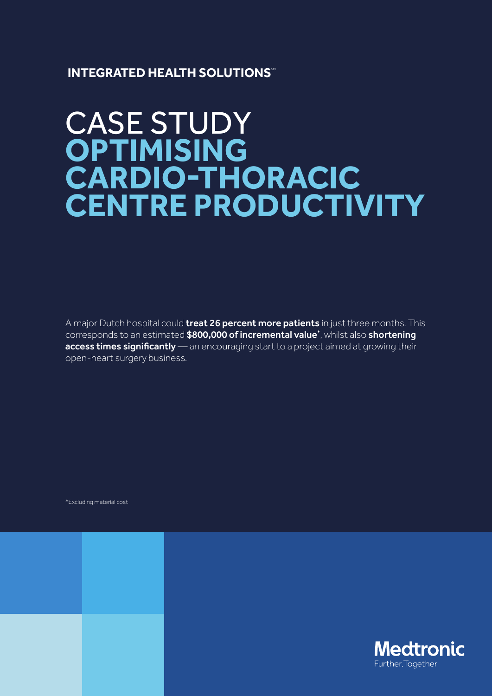### **INTEGRATED HEALTH SOLUTIONS**

# CASE STUDY **OPTIMISING**  CARDIO-THORACIC **CENTRE PRODUCTIVITY**

A major Dutch hospital could **treat 26 percent more patients** in just three months. This corresponds to an estimated \$800,000 of incremental value\*, whilst also shortening  $access times significantly$  an encouraging start to a project aimed at growing their open-heart surgery business.

\*Excluding material cost

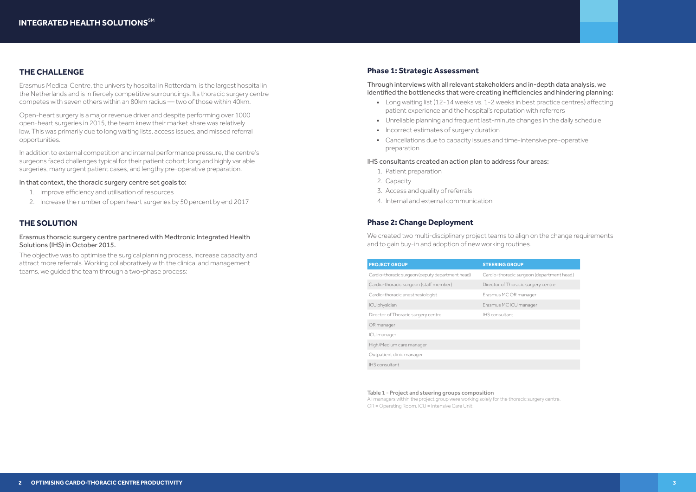### **THE CHALLENGE**

Erasmus Medical Centre, the university hospital in Rotterdam, is the largest hospital in the Netherlands and is in fiercely competitive surroundings. Its thoracic surgery centre competes with seven others within an 80km radius — two of those within 40km.

In addition to external competition and internal performance pressure, the centre's surgeons faced challenges typical for their patient cohort; long and highly variable surgeries, many urgent patient cases, and lengthy pre-operative preparation.

Open-heart surgery is a major revenue driver and despite performing over 1000 open-heart surgeries in 2015, the team knew their market share was relatively low. This was primarily due to long waiting lists, access issues, and missed referral opportunities.

Through interviews with all relevant stakeholders and in-depth data analysis, we identified the bottlenecks that were creating inefficiencies and hindering planning:

### In that context, the thoracic surgery centre set goals to:

- 1. Improve efficiency and utilisation of resources
- 2. Increase the number of open heart surgeries by 50 percent by end 2017
- Long waiting list (12-14 weeks vs. 1-2 weeks in best practice centres) affecting patient experience and the hospital's reputation with referrers
- Unreliable planning and frequent last-minute changes in the daily schedule
- Incorrect estimates of surgery duration
- Cancellations due to capacity issues and time-intensive pre-operative preparation

- 1. Patient preparation
- 2. Capacity
- 3. Access and quality of referrals
- 4. Internal and external communication

### **THE SOLUTION**

### Erasmus thoracic surgery centre partnered with Medtronic Integrated Health Solutions (IHS) in October 2015.

We created two multi-disciplinary project teams to align on the change requirements and to gain buy-in and adoption of new working routines.

The objective was to optimise the surgical planning process, increase capacity and attract more referrals. Working collaboratively with the clinical and management teams, we guided the team through a two-phase process:

> All managers within the project group were working solely for the thoracic surgery centre. OR = Operating Room, ICU = Intensive Care Unit.

### **Phase 1: Strategic Assessment**

### IHS consultants created an action plan to address four areas:

### **Phase 2: Change Deployment**



| <b>PROJECT GROUP</b>                             | <b>STEERING GROUP</b>      |
|--------------------------------------------------|----------------------------|
| Cardio-thoracic surgeon (deputy department head) | Cardio-thoracic surgeon (  |
| Cardio-thoracic surgeon (staff member)           | Director of Thoracic surge |
| Cardio-thoracic anesthesiologist                 | Erasmus MC OR manager      |
| ICU physician                                    | Erasmus MC ICU manager     |
| Director of Thoracic surgery centre              | IHS consultant             |
| OR manager                                       |                            |
| ICU manager                                      |                            |
| High/Medium care manager                         |                            |
| Outpatient clinic manager                        |                            |
| <b>IHS</b> consultant                            |                            |

#### Table 1 - Project and steering groups composition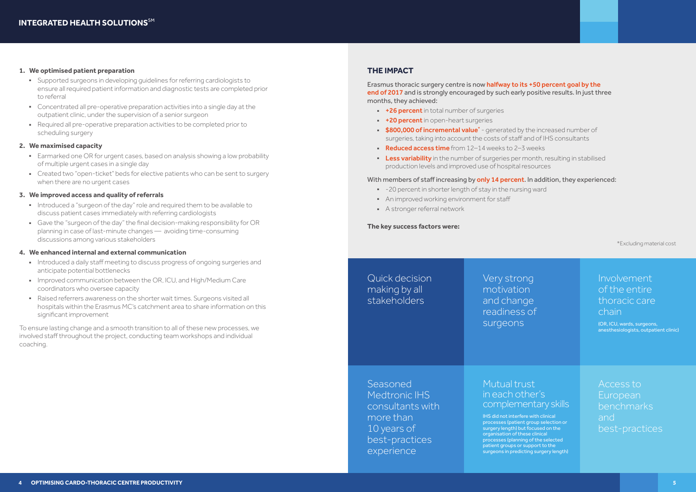#### **1. We optimised patient preparation**

- Supported surgeons in developing quidelines for referring cardiologists to ensure all required patient information and diagnostic tests are completed prior to referral
- Concentrated all pre-operative preparation activities into a single day at the outpatient clinic, under the supervision of a senior surgeon
- Q Required all pre-operative preparation activities to be completed prior to scheduling surgery

- Earmarked one OR for urgent cases, based on analysis showing a low probability of multiple urgent cases in a single day
- Created two "open-ticket" beds for elective patients who can be sent to surgery when there are no urgent cases

### **2. We maximised capacity**

- Introduced a "surgeon of the day" role and required them to be available to discuss patient cases immediately with referring cardiologists
- Gave the "surgeon of the day" the final decision-making responsibility for OR planning in case of last-minute changes — avoiding time-consuming discussions among various stakeholders

### **3. We improved access and quality of referrals**

Erasmus thoracic surgery centre is now halfway to its +50 percent goal by the end of 2017 and is strongly encouraged by such early positive results. In just three months, they achieved:

### **4. We enhanced internal and external communication**

- Introduced a daily staff meeting to discuss progress of ongoing surgeries and anticipate potential bottlenecks
- Improved communication between the OR, ICU, and High/Medium Care coordinators who oversee capacity
- Raised referrers awareness on the shorter wait times. Surgeons visited all hospitals within the Erasmus MC's catchment area to share information on this significant improvement
- **+26 percent** in total number of surgeries
- **+20 percent** in open-heart surgeries
- **\$800,000 of incremental value**\* generated by the increased number of surgeries, taking into account the costs of staff and of IHS consultants
- Reduced access time from  $12-14$  weeks to  $2-3$  weeks
- **Less variability** in the number of surgeries per month, resulting in stabilised production levels and improved use of hospital resources

### With members of staff increasing by only 14 percent. In addition, they experienced:

- -20 percent in shorter length of stay in the nursing ward
- An improved working environment for staff
- **A stronger referral network**

Seasoned Medtronic IHS consultants with more than 10 years of best-practices experience

## Involvement of the entire thoracic care chain

To ensure lasting change and a smooth transition to all of these new processes, we involved staff throughout the project, conducting team workshops and individual coaching.

### **THE IMPACT**

### **The key success factors were:**

\*Excluding material cost



| Quick decision |
|----------------|
| making by all  |
| stakeholders   |

Very strong motivation and change readiness of surgeons

### Mutual trust in each other's complementary skills

IHS did not interfere with clinical processes (patient group selection or surgery length) but focused on the organisation of these clinical processes (planning of the selected patient groups or support to the surgeons in predicting surgery length) (OR, ICU, wards, surgeons, anesthesiologists, outpatient clinic)

Access to European benchmarks and best-practices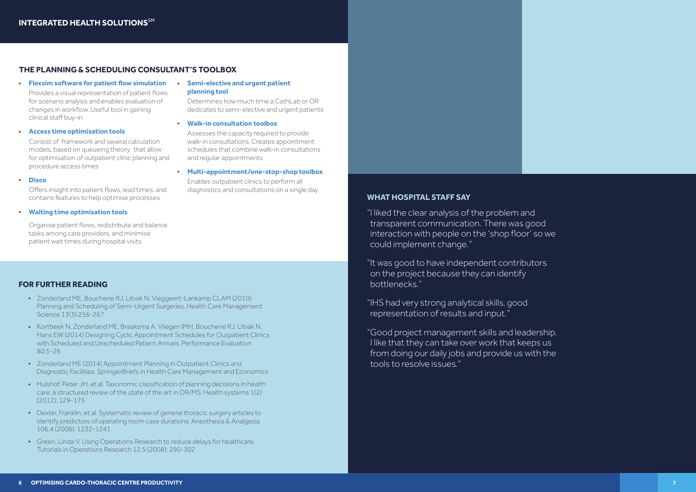### **WHAT HOSPITAL STAFF SAY**

"I liked the clear analysis of the problem and transparent communication. There was good interaction with people on the 'shop floor' so we could implement change."

"It was good to have independent contributors on the project because they can identify bottlenecks."

"IHS had very strong analytical skills, good representation of results and input.

"Good project management skills and leadership. I like that they can take over work that keeps us from doing our daily jobs and provide us with the tools to resolve issues."

### **FOR FURTHER READING**

- D Zonderland ME, Boucherie RJ, Litvak N, Vleggeert-Lankamp CLAM (2010) Planning and Scheduling of Semi-Urgent Surgeries. Health Care Management Science 13(3) 256-267
- Kortbeek N, Zonderland ME, Braaksma A, Vliegen IMH, Boucherie RJ, Litvak N, Hans EW (2014) Designing Cyclic Appointment Schedules for Outpatient Clinics with Scheduled and Unscheduled Patient Arrivals, Performance Evaluation  $80:5-26$
- Zonderland ME (2014) Appointment Planning in Outpatient Clinics and Diagnostic Facilities. SpringerBriefs in Health Care Management and Economics
- Hulshof, Peter JH, et al. Taxonomic classification of planning decisions in health care: a structured review of the state of the art in OR/MS. Health systems  $1(2)$  $(2012)$  129-175
- Dexter, Franklin, et al. Systematic review of general thoracic surgery articles to identify predictors of operating room case durations. Anesthesia & Analgesia 106 4 (2008): 1232-1241
- Green, Linda V. Using Operations Research to reduce delays for healthcare. Tutorials in Operations Research 12.5 (2008): 290-302

Offers insight into patient flows, lead times, and contains features to help optimise processes

Organise patient flows, redistribute and balance tasks among care providers, and minimise patient wait times during hospital visits

### **THE PLANNING & SCHEDULING CONSULTANT'S TOOLBOX**

**• Flexsim software for patient flow simulation** 

Provides a visual representation of patient flows for scenario analysis and enables evaluation of changes in workflow. Useful tool in gaining clinical staff buy-in

### <sup>Q</sup> **Access time optimisation tools**

Consist of framework and several calculation models, based on queueing theory, that allow for optimisation of outpatient clinic planning and procedure access times

### <sup>Q</sup> **Disco**

### <sup>Q</sup> **Waiting time optimisation tools**

### <sup>Q</sup> **Semi-elective and urgent patient planning tool**

Determines how much time a CathLab or OR dedicates to semi-elective and urgent patients

### <sup>Q</sup> **Walk-in consultation toolbox**

Assesses the capacity required to provide walk-in consultations. Creates appointment schedules that combine walk-in consultations and regular appointments

### <sup>Q</sup> **Multi-appointment/one-stop-shop toolbox**

Enables outpatient clinics to perform all diagnostics and consultations on a single day